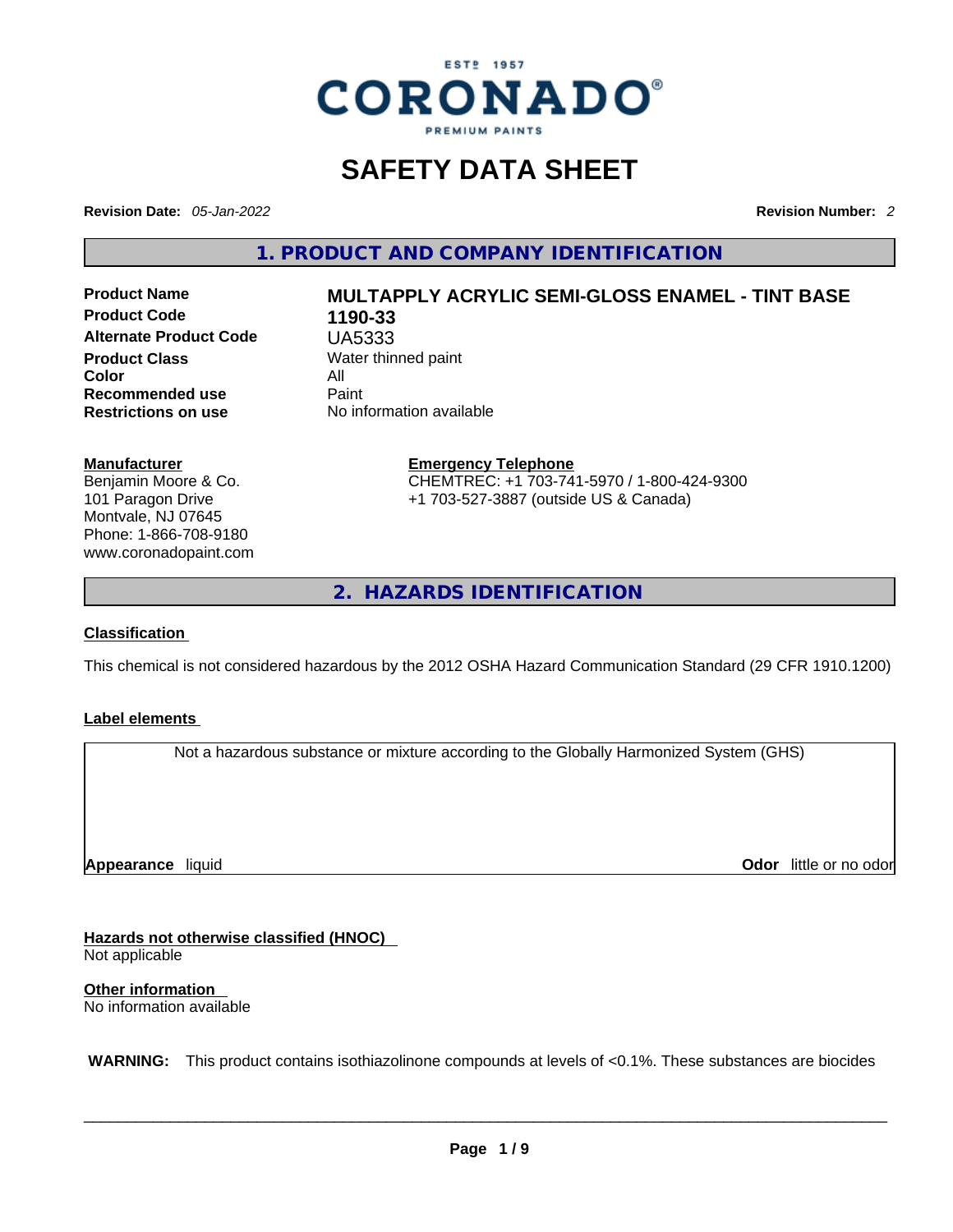

# **SAFETY DATA SHEET**

**Revision Date:** *05-Jan-2022* **Revision Number:** *2*

**1. PRODUCT AND COMPANY IDENTIFICATION** 

**Product Code 1190-33 Alternate Product Code** UA5333 **Product Class Water thinned paint**<br> **Color Color** All **Recommended use Paint Restrictions on use** No information available

# **Product Name MULTAPPLY ACRYLIC SEMI-GLOSS ENAMEL - TINT BASE**

**Manufacturer**

Benjamin Moore & Co. 101 Paragon Drive Montvale, NJ 07645 Phone: 1-866-708-9180 www.coronadopaint.com

## **Emergency Telephone** CHEMTREC: +1 703-741-5970 / 1-800-424-9300 +1 703-527-3887 (outside US & Canada)

**2. HAZARDS IDENTIFICATION** 

#### **Classification**

This chemical is not considered hazardous by the 2012 OSHA Hazard Communication Standard (29 CFR 1910.1200)

#### **Label elements**

Not a hazardous substance or mixture according to the Globally Harmonized System (GHS)

**Appearance** liquid

**Odor** little or no odor

**Hazards not otherwise classified (HNOC)**  Not applicable

**Other information**  No information available

 **WARNING:** This product contains isothiazolinone compounds at levels of <0.1%. These substances are biocides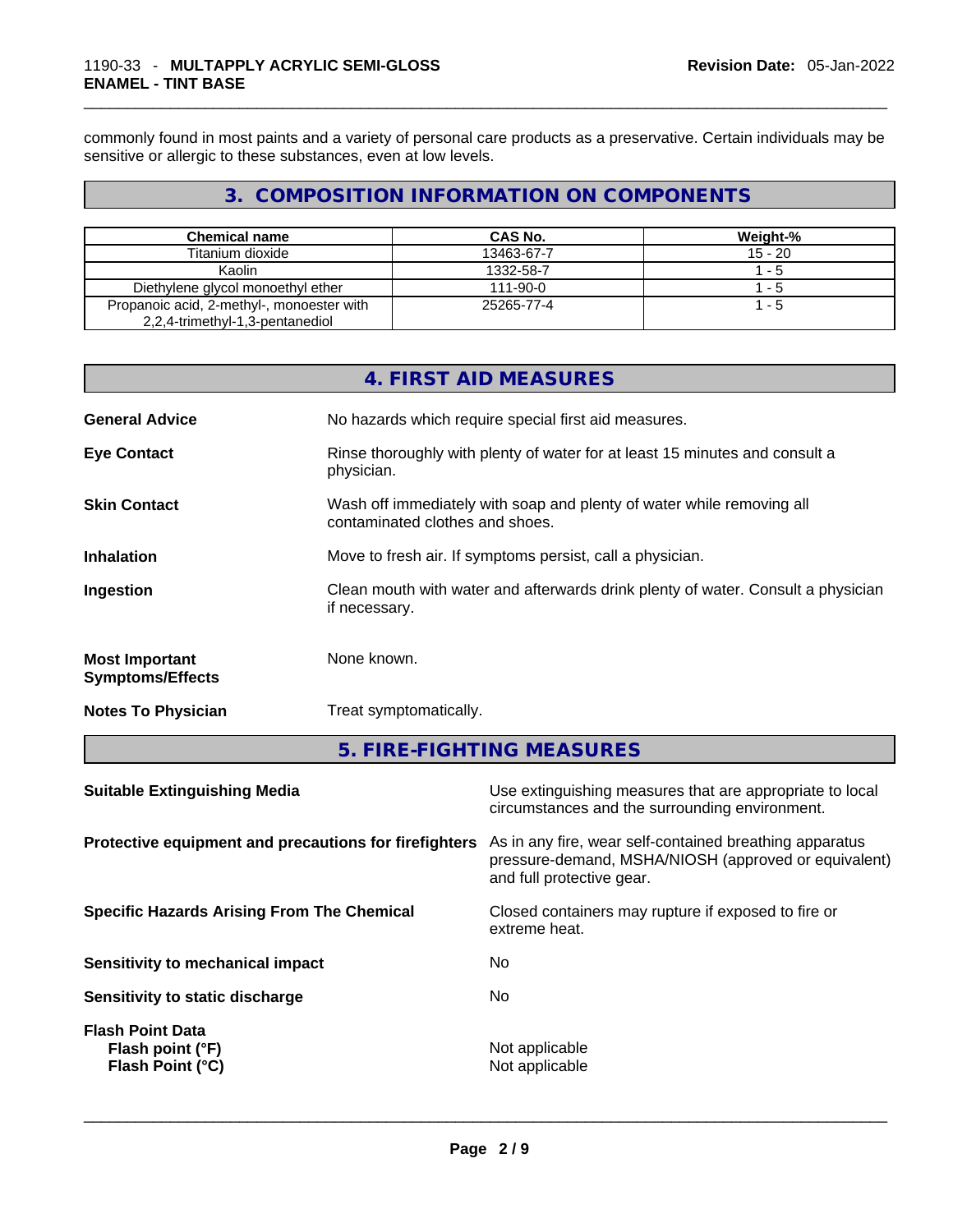commonly found in most paints and a variety of personal care products as a preservative. Certain individuals may be sensitive or allergic to these substances, even at low levels.

# **3. COMPOSITION INFORMATION ON COMPONENTS**

| <b>Chemical name</b>                                                         | <b>CAS No.</b> | Weight-%  |
|------------------------------------------------------------------------------|----------------|-----------|
| Titanium dioxide                                                             | 13463-67-7     | $15 - 20$ |
| Kaolin                                                                       | 1332-58-7      | 1 - 5     |
| Diethylene glycol monoethyl ether                                            | 111-90-0       | $1 - 5$   |
| Propanoic acid, 2-methyl-, monoester with<br>2,2,4-trimethyl-1,3-pentanediol | 25265-77-4     | $1 - 5$   |

|                                                  | 4. FIRST AID MEASURES                                                                                    |
|--------------------------------------------------|----------------------------------------------------------------------------------------------------------|
| <b>General Advice</b>                            | No hazards which require special first aid measures.                                                     |
| <b>Eye Contact</b>                               | Rinse thoroughly with plenty of water for at least 15 minutes and consult a<br>physician.                |
| <b>Skin Contact</b>                              | Wash off immediately with soap and plenty of water while removing all<br>contaminated clothes and shoes. |
| <b>Inhalation</b>                                | Move to fresh air. If symptoms persist, call a physician.                                                |
| Ingestion                                        | Clean mouth with water and afterwards drink plenty of water. Consult a physician<br>if necessary.        |
| <b>Most Important</b><br><b>Symptoms/Effects</b> | None known.                                                                                              |
| <b>Notes To Physician</b>                        | Treat symptomatically.                                                                                   |

# **5. FIRE-FIGHTING MEASURES**

| Use extinguishing measures that are appropriate to local<br>circumstances and the surrounding environment.                                                                                            |
|-------------------------------------------------------------------------------------------------------------------------------------------------------------------------------------------------------|
| Protective equipment and precautions for firefighters<br>As in any fire, wear self-contained breathing apparatus<br>pressure-demand, MSHA/NIOSH (approved or equivalent)<br>and full protective gear. |
| Closed containers may rupture if exposed to fire or<br>extreme heat.                                                                                                                                  |
| No.                                                                                                                                                                                                   |
| No.                                                                                                                                                                                                   |
| Not applicable<br>Not applicable                                                                                                                                                                      |
|                                                                                                                                                                                                       |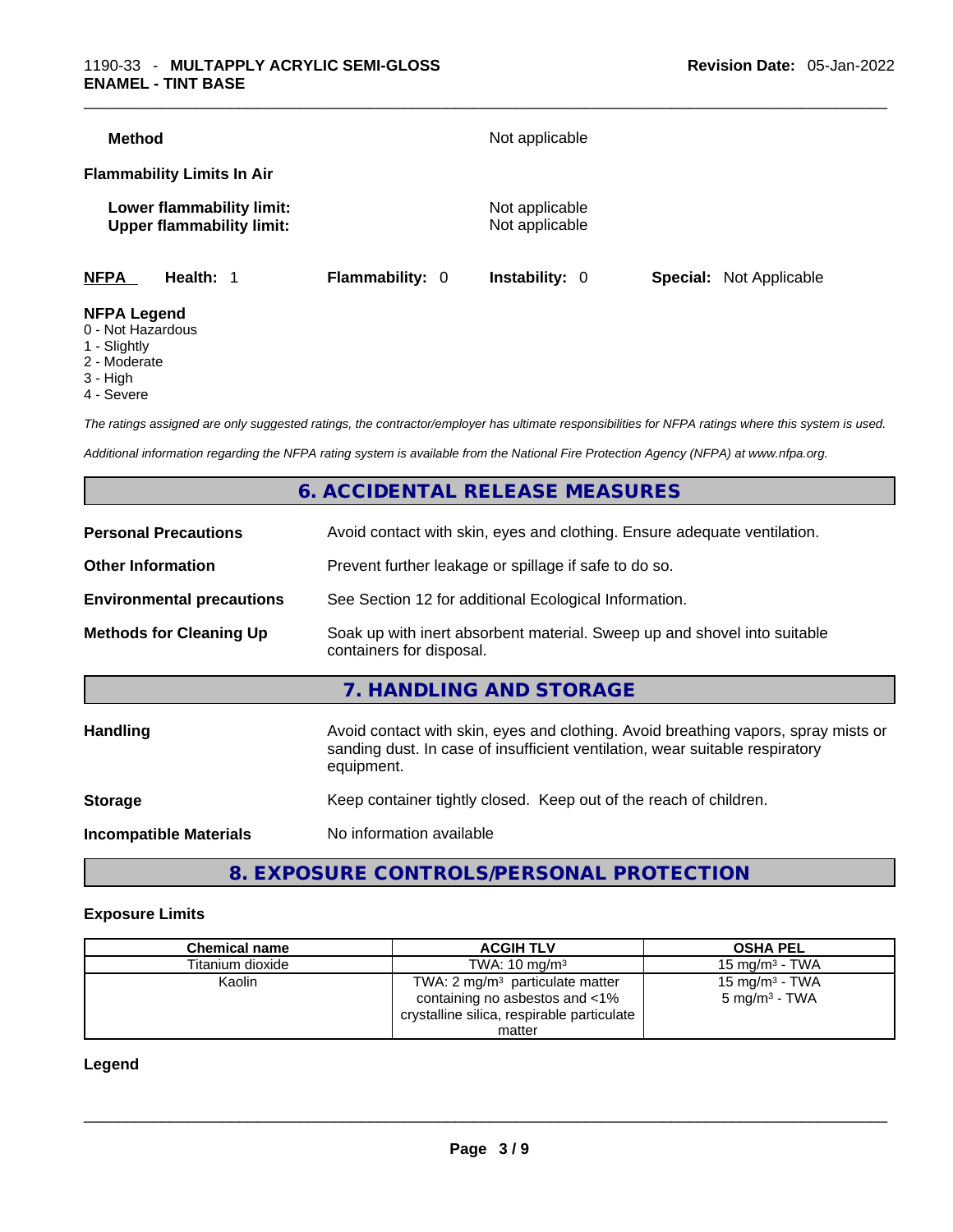| <b>Method</b>                                                 |                 | Not applicable                   |                                |
|---------------------------------------------------------------|-----------------|----------------------------------|--------------------------------|
| <b>Flammability Limits In Air</b>                             |                 |                                  |                                |
| Lower flammability limit:<br><b>Upper flammability limit:</b> |                 | Not applicable<br>Not applicable |                                |
| <b>NFPA</b><br>Health: 1                                      | Flammability: 0 | <b>Instability: 0</b>            | <b>Special:</b> Not Applicable |
| <b>NFPA Legend</b>                                            |                 |                                  |                                |

- 0 Not Hazardous
- 1 Slightly
- 2 Moderate
- 3 High
- 4 Severe

*The ratings assigned are only suggested ratings, the contractor/employer has ultimate responsibilities for NFPA ratings where this system is used.* 

*Additional information regarding the NFPA rating system is available from the National Fire Protection Agency (NFPA) at www.nfpa.org.* 

# **6. ACCIDENTAL RELEASE MEASURES**

| <b>Personal Precautions</b>      | Avoid contact with skin, eyes and clothing. Ensure adequate ventilation.                                                                                           |  |  |
|----------------------------------|--------------------------------------------------------------------------------------------------------------------------------------------------------------------|--|--|
| <b>Other Information</b>         | Prevent further leakage or spillage if safe to do so.                                                                                                              |  |  |
| <b>Environmental precautions</b> | See Section 12 for additional Ecological Information.                                                                                                              |  |  |
| <b>Methods for Cleaning Up</b>   | Soak up with inert absorbent material. Sweep up and shovel into suitable<br>containers for disposal.                                                               |  |  |
|                                  | 7. HANDLING AND STORAGE                                                                                                                                            |  |  |
| Handling                         | Avoid contact with skin, eyes and clothing. Avoid breathing vapors, spray mists or<br>sanding dust. In case of insufficient ventilation, wear suitable respiratory |  |  |
|                                  | equipment.                                                                                                                                                         |  |  |
| <b>Storage</b>                   | Keep container tightly closed. Keep out of the reach of children.                                                                                                  |  |  |

# **8. EXPOSURE CONTROLS/PERSONAL PROTECTION**

#### **Exposure Limits**

| <b>Chemical name</b> | <b>ACGIH TLV</b>                           | <b>OSHA PEL</b>            |
|----------------------|--------------------------------------------|----------------------------|
| Titanium dioxide     | TWA: $10 \text{ ma/m}^3$                   | 15 mg/m $3$ - TWA          |
| Kaolin               | TWA: $2 \text{ mg/m}^3$ particulate matter | 15 mg/m <sup>3</sup> - TWA |
|                      | containing no asbestos and <1%             | 5 mg/m <sup>3</sup> - TWA  |
|                      | crystalline silica, respirable particulate |                            |
|                      | matter                                     |                            |

#### **Legend**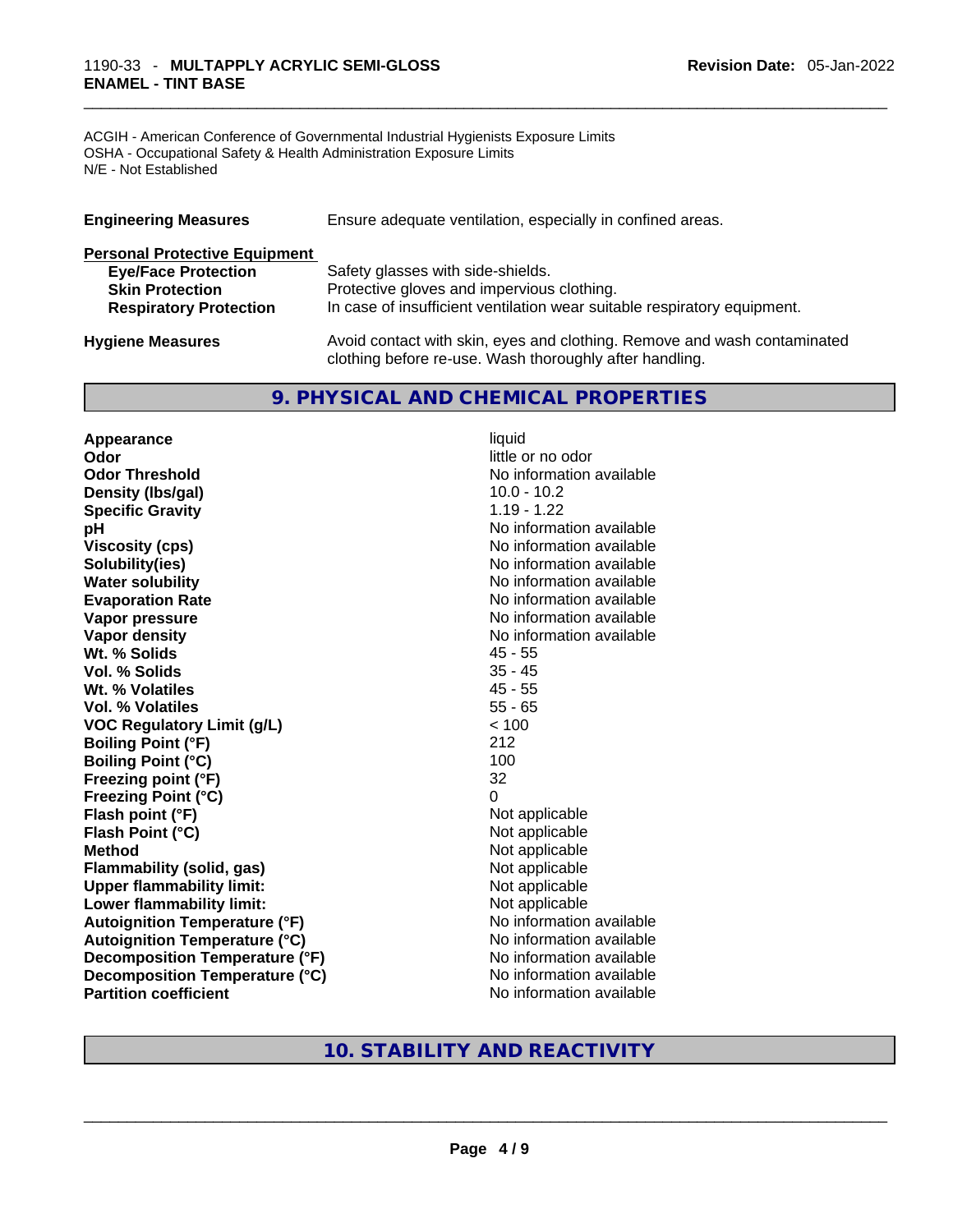#### \_\_\_\_\_\_\_\_\_\_\_\_\_\_\_\_\_\_\_\_\_\_\_\_\_\_\_\_\_\_\_\_\_\_\_\_\_\_\_\_\_\_\_\_\_\_\_\_\_\_\_\_\_\_\_\_\_\_\_\_\_\_\_\_\_\_\_\_\_\_\_\_\_\_\_\_\_\_\_\_\_\_\_\_\_\_\_\_\_\_\_\_\_ 1190-33 - **MULTAPPLY ACRYLIC SEMI-GLOSS ENAMEL - TINT BASE**

ACGIH - American Conference of Governmental Industrial Hygienists Exposure Limits OSHA - Occupational Safety & Health Administration Exposure Limits N/E - Not Established

| <b>Engineering Measures</b>          | Ensure adequate ventilation, especially in confined areas.               |
|--------------------------------------|--------------------------------------------------------------------------|
| <b>Personal Protective Equipment</b> |                                                                          |
| <b>Eye/Face Protection</b>           | Safety glasses with side-shields.                                        |
| <b>Skin Protection</b>               | Protective gloves and impervious clothing.                               |
| <b>Respiratory Protection</b>        | In case of insufficient ventilation wear suitable respiratory equipment. |
| <b>Hygiene Measures</b>              | Avoid contact with skin, eyes and clothing. Remove and wash contaminated |

## **9. PHYSICAL AND CHEMICAL PROPERTIES**

clothing before re-use. Wash thoroughly after handling.

**Appearance** liquid **Odor Odor Odor Odor Odor Odor** *little or no odor little or no odor* **Odor Threshold No information available No information available Density (lbs/gal)** 10.0 - 10.2 **Specific Gravity** 1.19 - 1.22 **pH** No information available **Viscosity (cps) Viscosity (cps) No information available Solubility(ies)** No information available **Water solubility Water solubility Water solubility Water solubility Water solubility Water solution Evaporation Rate No information available No information available Vapor pressure**  No information available **Vapor pressure No information available Vapor density Vapor** density **Wt. % Solids** 45 - 55 **Vol. % Solids** 35 - 45 **Wt. % Volatiles Vol. % Volatiles** 55 - 65 **VOC Regulatory Limit (g/L)** < 100 **Boiling Point (°F)** 212 **Boiling Point (°C)** 100<br> **Preezing point (°F)** 32 **Freezing point (°F) Freezing Point (°C)** 0 **Flash point (°F)** Not applicable **Flash Point (°C)** Not applicable **Method Not applicable Not applicable Flammability (solid, gas)** Not applicable **Upper flammability limit:** Not applicable **Lower flammability limit:** Not applicable **Autoignition Temperature (°F)** No information available **Autoignition Temperature (°C)** No information available **Decomposition Temperature (°F)**<br> **Decomposition Temperature (°C)** No information available **Decomposition Temperature (°C) Partition coefficient Community Contract Contract Contract Contract Contract Contract Contract Contract Contract Contract Contract Contract Contract Contract Contract Contract Contract Contract Contract Contract Contr** 

# **10. STABILITY AND REACTIVITY**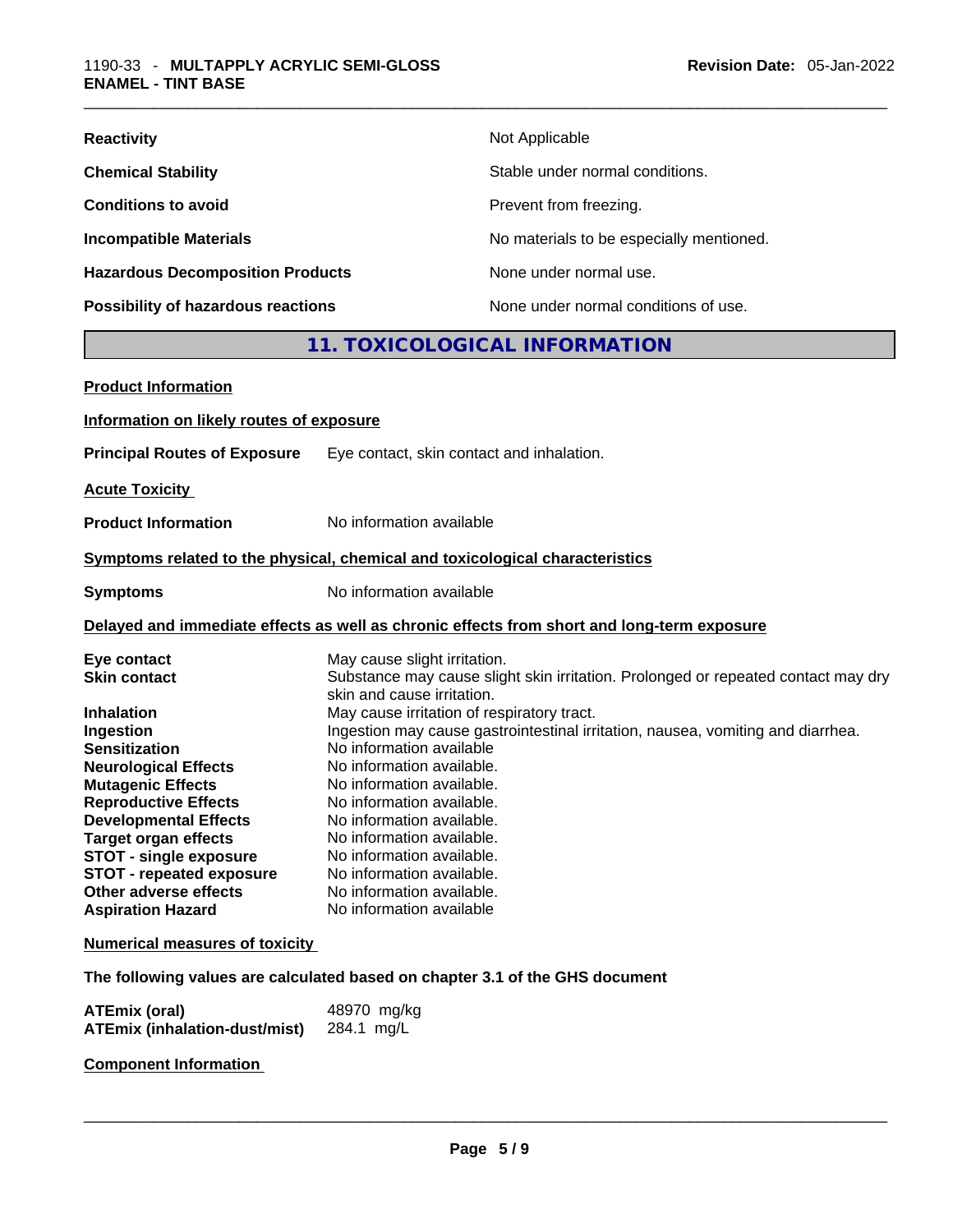| <b>Reactivity</b>                       | Not Applicable                           |
|-----------------------------------------|------------------------------------------|
| <b>Chemical Stability</b>               | Stable under normal conditions.          |
| <b>Conditions to avoid</b>              | Prevent from freezing.                   |
| <b>Incompatible Materials</b>           | No materials to be especially mentioned. |
| <b>Hazardous Decomposition Products</b> | None under normal use.                   |
| Possibility of hazardous reactions      | None under normal conditions of use.     |

# **11. TOXICOLOGICAL INFORMATION**

| <b>Product Information</b>                                                                                                                                                                                                                                                             |                                                                                                                                                                                                                                                                                                                                                                                                                                                                                            |
|----------------------------------------------------------------------------------------------------------------------------------------------------------------------------------------------------------------------------------------------------------------------------------------|--------------------------------------------------------------------------------------------------------------------------------------------------------------------------------------------------------------------------------------------------------------------------------------------------------------------------------------------------------------------------------------------------------------------------------------------------------------------------------------------|
| Information on likely routes of exposure                                                                                                                                                                                                                                               |                                                                                                                                                                                                                                                                                                                                                                                                                                                                                            |
| <b>Principal Routes of Exposure</b>                                                                                                                                                                                                                                                    | Eye contact, skin contact and inhalation.                                                                                                                                                                                                                                                                                                                                                                                                                                                  |
| <b>Acute Toxicity</b>                                                                                                                                                                                                                                                                  |                                                                                                                                                                                                                                                                                                                                                                                                                                                                                            |
| <b>Product Information</b>                                                                                                                                                                                                                                                             | No information available                                                                                                                                                                                                                                                                                                                                                                                                                                                                   |
|                                                                                                                                                                                                                                                                                        | Symptoms related to the physical, chemical and toxicological characteristics                                                                                                                                                                                                                                                                                                                                                                                                               |
| <b>Symptoms</b>                                                                                                                                                                                                                                                                        | No information available                                                                                                                                                                                                                                                                                                                                                                                                                                                                   |
|                                                                                                                                                                                                                                                                                        | Delayed and immediate effects as well as chronic effects from short and long-term exposure                                                                                                                                                                                                                                                                                                                                                                                                 |
| Eye contact<br><b>Skin contact</b><br><b>Inhalation</b><br>Ingestion<br><b>Sensitization</b><br><b>Neurological Effects</b><br><b>Mutagenic Effects</b><br><b>Reproductive Effects</b><br><b>Developmental Effects</b><br><b>Target organ effects</b><br><b>STOT - single exposure</b> | May cause slight irritation.<br>Substance may cause slight skin irritation. Prolonged or repeated contact may dry<br>skin and cause irritation.<br>May cause irritation of respiratory tract.<br>Ingestion may cause gastrointestinal irritation, nausea, vomiting and diarrhea.<br>No information available<br>No information available.<br>No information available.<br>No information available.<br>No information available.<br>No information available.<br>No information available. |
| <b>STOT - repeated exposure</b><br>Other adverse effects<br><b>Aspiration Hazard</b>                                                                                                                                                                                                   | No information available.<br>No information available.<br>No information available                                                                                                                                                                                                                                                                                                                                                                                                         |
| <b>Numerical measures of toxicity</b>                                                                                                                                                                                                                                                  |                                                                                                                                                                                                                                                                                                                                                                                                                                                                                            |
|                                                                                                                                                                                                                                                                                        | The following values are calculated based on chapter 3.1 of the GHS document                                                                                                                                                                                                                                                                                                                                                                                                               |

| <b>ATEmix (oral)</b>                 | 48970 mg/kg |
|--------------------------------------|-------------|
| <b>ATEmix (inhalation-dust/mist)</b> | 284.1 mg/L  |

**Component Information**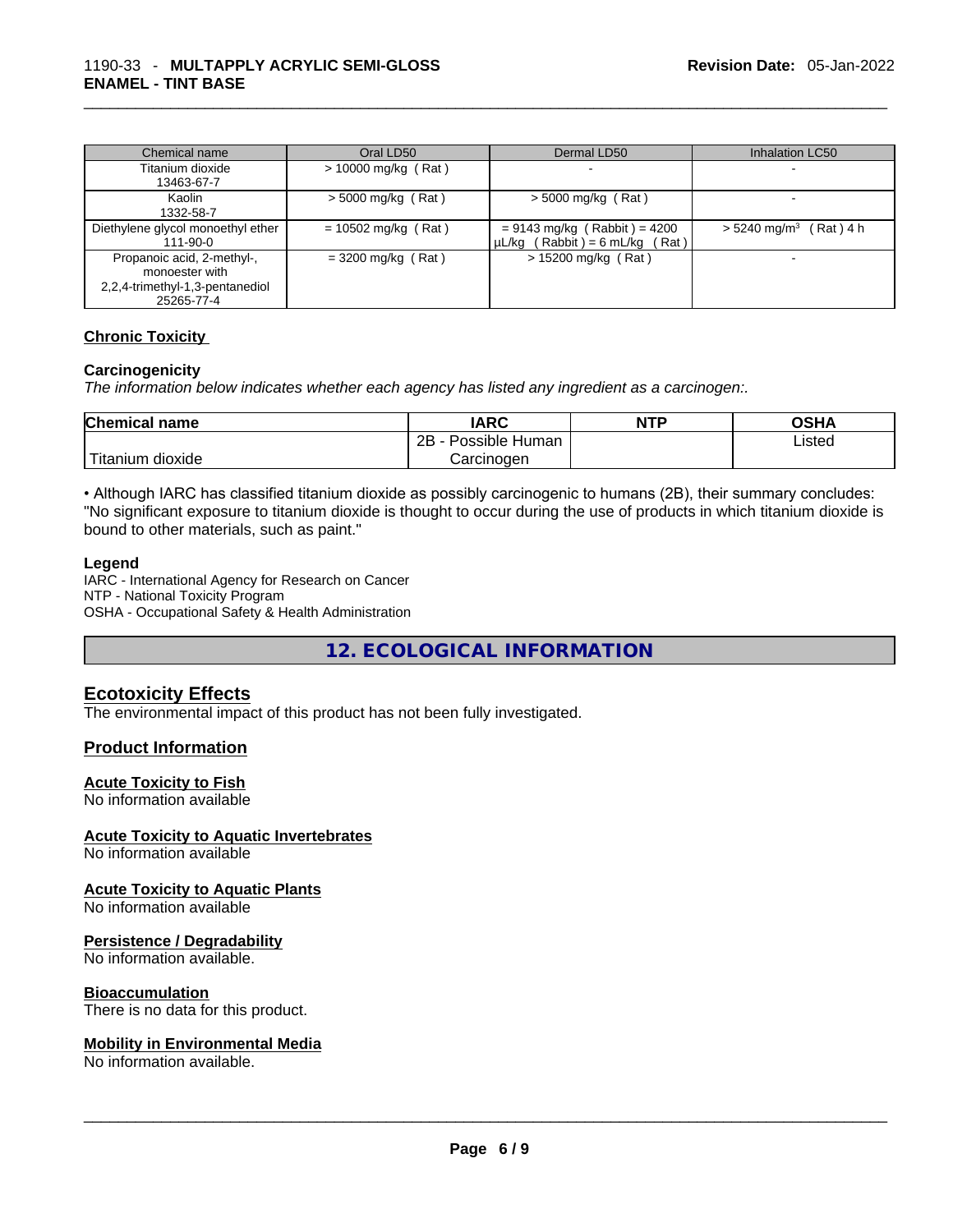| Chemical name                     | Oral LD50             | Dermal LD50                         | <b>Inhalation LC50</b>               |
|-----------------------------------|-----------------------|-------------------------------------|--------------------------------------|
| Titanium dioxide                  | $> 10000$ mg/kg (Rat) |                                     |                                      |
| 13463-67-7                        |                       |                                     |                                      |
| Kaolin                            | $>$ 5000 mg/kg (Rat)  | $>$ 5000 mg/kg (Rat)                |                                      |
| 1332-58-7                         |                       |                                     |                                      |
| Diethylene glycol monoethyl ether | $= 10502$ mg/kg (Rat) | $= 9143$ mg/kg (Rabbit) = 4200      | $> 5240$ mg/m <sup>3</sup> (Rat) 4 h |
| $111 - 90 - 0$                    |                       | $\mu L/kg$ (Rabbit) = 6 mL/kg (Rat) |                                      |
| Propanoic acid, 2-methyl-,        | $=$ 3200 mg/kg (Rat)  | $> 15200$ mg/kg (Rat)               |                                      |
| monoester with                    |                       |                                     |                                      |
| 2,2,4-trimethyl-1,3-pentanediol   |                       |                                     |                                      |
| 25265-77-4                        |                       |                                     |                                      |

#### **Chronic Toxicity**

#### **Carcinogenicity**

*The information below indicates whether each agency has listed any ingredient as a carcinogen:.* 

| <b>Chemical name</b>    | IARC                 | <b>NTP</b> | OSHA   |
|-------------------------|----------------------|------------|--------|
|                         | 2B<br>Possible Human |            | ∟isted |
| ' Titanium J<br>dioxide | Carcinogen           |            |        |

• Although IARC has classified titanium dioxide as possibly carcinogenic to humans (2B), their summary concludes: "No significant exposure to titanium dioxide is thought to occur during the use of products in which titanium dioxide is bound to other materials, such as paint."

#### **Legend**

IARC - International Agency for Research on Cancer NTP - National Toxicity Program OSHA - Occupational Safety & Health Administration

**12. ECOLOGICAL INFORMATION** 

#### **Ecotoxicity Effects**

The environmental impact of this product has not been fully investigated.

#### **Product Information**

#### **Acute Toxicity to Fish**

No information available

#### **Acute Toxicity to Aquatic Invertebrates**

No information available

#### **Acute Toxicity to Aquatic Plants**

No information available

#### **Persistence / Degradability**

No information available.

#### **Bioaccumulation**

There is no data for this product.

# **Mobility in Environmental Media**

No information available. \_\_\_\_\_\_\_\_\_\_\_\_\_\_\_\_\_\_\_\_\_\_\_\_\_\_\_\_\_\_\_\_\_\_\_\_\_\_\_\_\_\_\_\_\_\_\_\_\_\_\_\_\_\_\_\_\_\_\_\_\_\_\_\_\_\_\_\_\_\_\_\_\_\_\_\_\_\_\_\_\_\_\_\_\_\_\_\_\_\_\_\_\_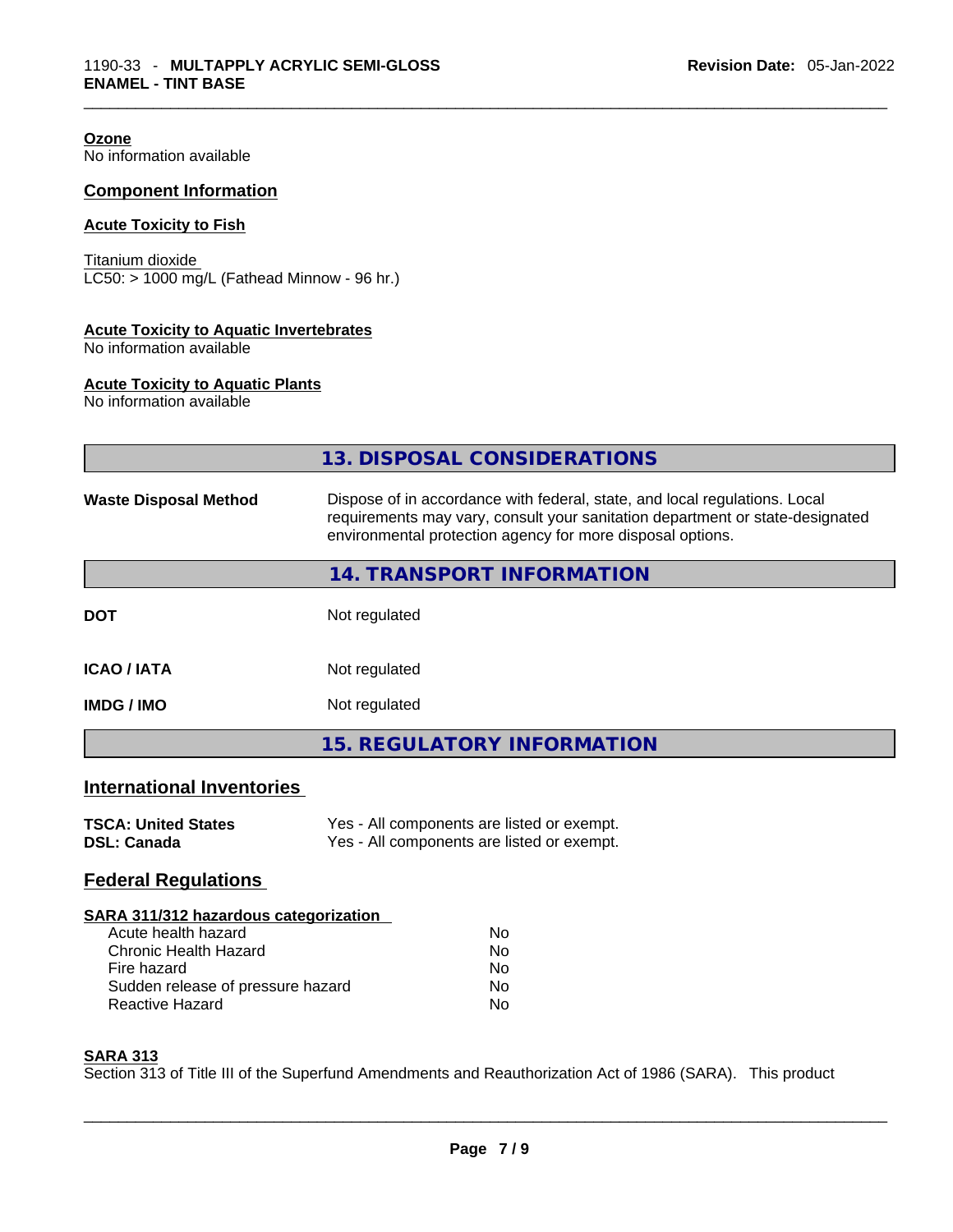**Ozone** No information available

# **Component Information**

# **Acute Toxicity to Fish**

Titanium dioxide  $LC50: > 1000$  mg/L (Fathead Minnow - 96 hr.)

## **Acute Toxicity to Aquatic Invertebrates**

No information available

#### **Acute Toxicity to Aquatic Plants**

No information available

|                                                                                                                                                                            | <b>13. DISPOSAL CONSIDERATIONS</b>                                                                                                                                                                                        |  |  |
|----------------------------------------------------------------------------------------------------------------------------------------------------------------------------|---------------------------------------------------------------------------------------------------------------------------------------------------------------------------------------------------------------------------|--|--|
| <b>Waste Disposal Method</b>                                                                                                                                               | Dispose of in accordance with federal, state, and local regulations. Local<br>requirements may vary, consult your sanitation department or state-designated<br>environmental protection agency for more disposal options. |  |  |
|                                                                                                                                                                            | 14. TRANSPORT INFORMATION                                                                                                                                                                                                 |  |  |
| <b>DOT</b>                                                                                                                                                                 | Not regulated                                                                                                                                                                                                             |  |  |
| <b>ICAO / IATA</b>                                                                                                                                                         | Not regulated                                                                                                                                                                                                             |  |  |
| <b>IMDG / IMO</b>                                                                                                                                                          | Not regulated                                                                                                                                                                                                             |  |  |
|                                                                                                                                                                            | <b>15. REGULATORY INFORMATION</b>                                                                                                                                                                                         |  |  |
| <b>International Inventories</b>                                                                                                                                           |                                                                                                                                                                                                                           |  |  |
| <b>TSCA: United States</b><br><b>DSL: Canada</b>                                                                                                                           | Yes - All components are listed or exempt.<br>Yes - All components are listed or exempt.                                                                                                                                  |  |  |
| <b>Federal Regulations</b>                                                                                                                                                 |                                                                                                                                                                                                                           |  |  |
| SARA 311/312 hazardous categorization<br>Acute health hazard<br><b>Chronic Health Hazard</b><br>Fire hazard<br>Sudden release of pressure hazard<br><b>Reactive Hazard</b> | <b>No</b><br><b>No</b><br>No<br>No<br><b>No</b>                                                                                                                                                                           |  |  |

#### **SARA 313**

Section 313 of Title III of the Superfund Amendments and Reauthorization Act of 1986 (SARA). This product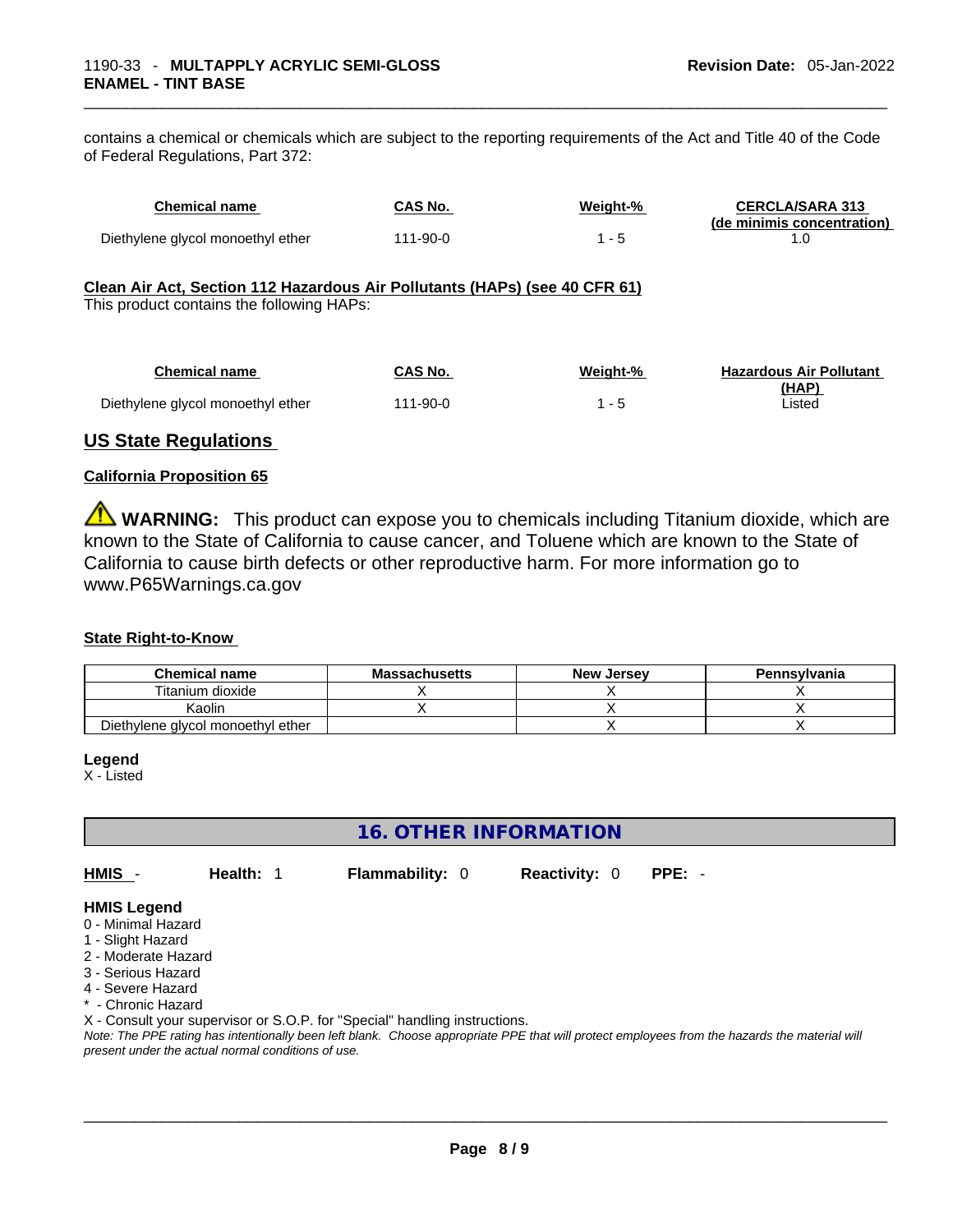contains a chemical or chemicals which are subject to the reporting requirements of the Act and Title 40 of the Code of Federal Regulations, Part 372:

| <b>Chemical name</b>                                                                                                    | <b>CAS No.</b> | Weight-% | <b>CERCLA/SARA 313</b><br>(de minimis concentration) |
|-------------------------------------------------------------------------------------------------------------------------|----------------|----------|------------------------------------------------------|
| Diethylene glycol monoethyl ether                                                                                       | $111 - 90 - 0$ | $1 - 5$  | 1.0                                                  |
| Clean Air Act, Section 112 Hazardous Air Pollutants (HAPs) (see 40 CFR 61)<br>This product contains the following HAPs: |                |          |                                                      |
| <b>Chemical name</b>                                                                                                    | <b>CAS No.</b> | Weight-% | <b>Hazardous Air Pollutant</b><br>(HAP)              |
| Diethylene glycol monoethyl ether                                                                                       | $111 - 90 - 0$ | $1 - 5$  | Listed                                               |
|                                                                                                                         |                |          |                                                      |

## **US State Regulations**

#### **California Proposition 65**

**WARNING:** This product can expose you to chemicals including Titanium dioxide, which are known to the State of California to cause cancer, and Toluene which are known to the State of California to cause birth defects or other reproductive harm. For more information go to www.P65Warnings.ca.gov

#### **State Right-to-Know**

| <b>Chemical name</b>              | <b>Massachusetts</b> | <b>New Jersey</b> | Pennsylvania |
|-----------------------------------|----------------------|-------------------|--------------|
| Titanium dioxide                  |                      |                   |              |
| Kaolin                            |                      |                   |              |
| Diethylene glycol monoethyl ether |                      |                   |              |

#### **Legend**

X - Listed

# **16. OTHER INFORMATION**

**HMIS** - **Health:** 1 **Flammability:** 0 **Reactivity:** 0 **PPE:** -

#### **HMIS Legend**

- 0 Minimal Hazard
- 1 Slight Hazard
- 2 Moderate Hazard
- 3 Serious Hazard
- 4 Severe Hazard
- \* Chronic Hazard

X - Consult your supervisor or S.O.P. for "Special" handling instructions.

Note: The PPE rating has intentionally been left blank. Choose appropriate PPE that will protect employees from the hazards the material will *present under the actual normal conditions of use.*